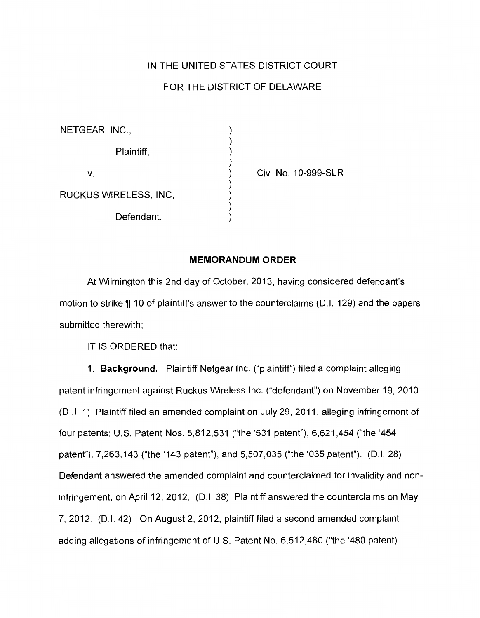## IN THE UNITED STATES DISTRICT COURT

## FOR THE DISTRICT OF DELAWARE

| NETGEAR, INC.,        |  |
|-----------------------|--|
| Plaintiff,            |  |
| V.                    |  |
| RUCKUS WIRELESS, INC, |  |
| Defendant.            |  |

Civ. No. 1 0-999-SLR

## **MEMORANDUM ORDER**

At Wilmington this 2nd day of October, 2013, having considered defendant's motion to strike  $\P$  10 of plaintiff's answer to the counterclaims (D.I. 129) and the papers submitted therewith;

IT IS ORDERED that:

1. **Background.** Plaintiff Netgear Inc. ("plaintiff') filed a complaint alleging patent infringement against Ruckus Wireless Inc. ("defendant") on November 19, 2010. (D .I. 1) Plaintiff filed an amended complaint on July 29, 2011, alleging infringement of four patents: U.S. Patent Nos. 5,812,531 ("the '531 patent"), 6,621,454 ("the '454 patent"), 7,263,143 ("the '143 patent"), and 5,507,035 ("the '035 patent"). (D.I. 28) Defendant answered the amended complaint and counterclaimed for invalidity and noninfringement, on April 12, 2012. (D.I. 38) Plaintiff answered the counterclaims on May 7, 2012. (D.I. 42) On August 2, 2012, plaintiff filed a second amended complaint adding allegations of infringement of U.S. Patent No. 6,512,480 ("the '480 patent)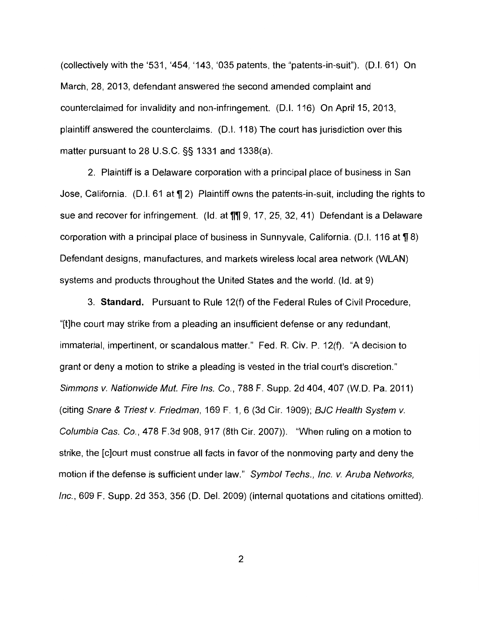(collectively with the '531, '454, '143, '035 patents, the "patents-in-suit").  $(D.I. 61)$  On March, 28, 2013, defendant answered the second amended complaint and counterclaimed for invalidity and non-infringement. (D.I. 116) On April 15, 2013, plaintiff answered the counterclaims. (D.I. 118) The court has jurisdiction over this matter pursuant to 28 U.S.C. §§ 1331 and 1338(a).

2. Plaintiff is a Delaware corporation with a principal place of business in San Jose, California. (D.I. 61 at  $\P$  2) Plaintiff owns the patents-in-suit, including the rights to sue and recover for infringement. (Id. at  $\P\P$  $[9, 17, 25, 32, 41)$  Defendant is a Delaware corporation with a principal place of business in Sunnyvale, California. (D.I. 116 at  $\P$  8) Defendant designs, manufactures, and markets wireless local area network (WLAN) systems and products throughout the United States and the world. (ld. at 9)

3. **Standard.** Pursuant to Rule 12(f) of the Federal Rules of Civil Procedure, "[t]he court may strike from a pleading an insufficient defense or any redundant, immaterial, impertinent, or scandalous matter." Fed. R. Civ. P. 12(f). "A decision to grant or deny a motion to strike a pleading is vested in the trial court's discretion." Simmons v. Nationwide Mut. Fire Ins. Co., 788 F. Supp. 2d 404, 407 (W.O. Pa. 2011) (citing Snare & Triest v. Friedman, 169 F. 1, 6 (3d Cir. 1909); BJC Health System v. Columbia Cas. Co., 478 F.3d 908, 917 (8th Cir. 2007)). "When ruling on a motion to strike, the [c]ourt must construe all facts in favor of the nonmoving party and deny the motion if the defense is sufficient under law." Symbol Techs., Inc. v. Aruba Networks, Inc., 609 F. Supp. 2d 353, 356 (D. Del. 2009) (internal quotations and citations omitted).

2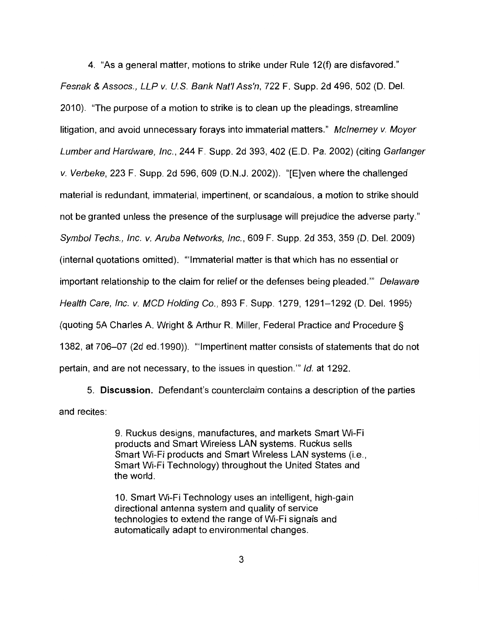4. "As a general matter, motions to strike under Rule 12(f) are disfavored." Fesnak & Assocs., LLP v. U.S. Bank Nat'/ Ass'n, 722 F. Supp. 2d 496, 502 (D. Del. 2010). "The purpose of a motion to strike is to clean up the pleadings, streamline litigation, and avoid unnecessary forays into immaterial matters." Mclnerney v. Moyer Lumber and Hardware, Inc., 244 F. Supp. 2d 393, 402 (E. D. Pa. 2002) (citing Gar/anger v. Verbeke, 223 F. Supp. 2d 596, 609 (D. N.J. 2002)). "[E]ven where the challenged material is redundant, immaterial, impertinent, or scandalous, a motion to strike should not be granted unless the presence of the surplusage will prejudice the adverse party." Symbol Techs., Inc. v. Aruba Networks, Inc., 609 F. Supp. 2d 353, 359 (D. Del. 2009) (internal quotations omitted). '"Immaterial matter is that which has no essential or important relationship to the claim for relief or the defenses being pleaded."" Delaware Health Care, Inc. v. MCD Holding Co., 893 F. Supp. 1279, 1291-1292 (D. Del. 1995) (quoting 5A Charles A. Wright & Arthur R. Miller, Federal Practice and Procedure§ 1382, at 706-07 (2d ed.1990)). '"Impertinent matter consists of statements that do not pertain, and are not necessary, to the issues in question."' */d.* at 1292.

5. **Discussion.** Defendant's counterclaim contains a description of the parties and recites:

> 9. Ruckus designs, manufactures, and markets Smart Wi-Fi products and Smart Wireless LAN systems. Ruckus sells Smart Wi-Fi products and Smart Wireless LAN systems (i.e., Smart Wi-Fi Technology) throughout the United States and the world.

10. Smart Wi-Fi Technology uses an intelligent, high-gain directional antenna system and quality of service technologies to extend the range of Wi-Fi signals and automatically adapt to environmental changes.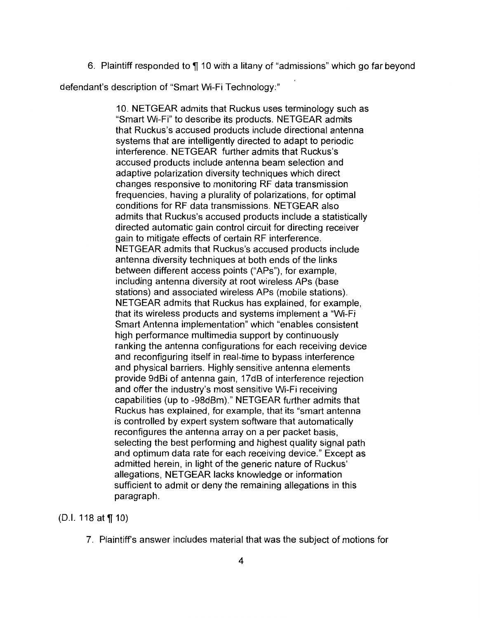6. Plaintiff responded to  $\P$  10 with a litany of "admissions" which go far beyond

defendant's description of "Smart Wi-Fi Technology:"

10. NET GEAR admits that Ruckus uses terminology such as "Smart Wi-Fi" to describe its products. NETGEAR admits that Ruckus's accused products include directional antenna systems that are intelligently directed to adapt to periodic interference. NETGEAR further admits that Ruckus's accused products include antenna beam selection and adaptive polarization diversity techniques which direct changes responsive to monitoring RF data transmission frequencies, having a plurality of polarizations, for optimal conditions for RF data transmissions. NETGEAR also admits that Ruckus's accused products include a statistically directed automatic gain control circuit for directing receiver gain to mitigate effects of certain RF interference. NETGEAR admits that Ruckus's accused products include antenna diversity techniques at both ends of the links between different access points ("APs"}, for example, including antenna diversity at root wireless APs (base stations) and associated wireless APs (mobile stations). NETGEAR admits that Ruckus has explained, for example, that its wireless products and systems implement a "Wi-Fi Smart Antenna implementation" which "enables consistent high performance multimedia support by continuously ranking the antenna configurations for each receiving device and reconfiguring itself in real-time to bypass interference and physical barriers. Highly sensitive antenna elements provide 9dBi of antenna gain, 17dB of interference rejection and offer the industry's most sensitive Wi-Fi receiving capabilities (up to -98dBm)." NETGEAR further admits that Ruckus has explained, for example, that its "smart antenna is controlled by expert system software that automatically reconfigures the antenna array on a per packet basis, selecting the best performing and highest quality signal path and optimum data rate for each receiving device." Except as admitted herein, in light of the generic nature of Ruckus' allegations, NETGEAR lacks knowledge or information sufficient to admit or deny the remaining allegations in this paragraph.

(D.I. 118 at  $\P(10)$ 

7. Plaintiff's answer includes material that was the subject of motions for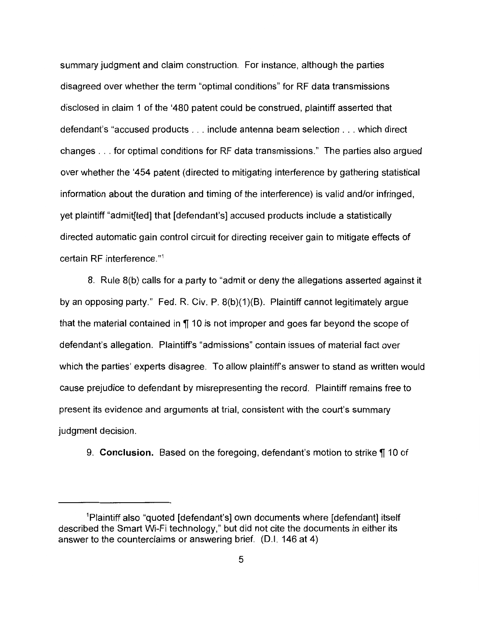summary judgment and claim construction. For instance, although the parties disagreed over whether the term "optimal conditions" for RF data transmissions disclosed in claim 1 of the '480 patent could be construed, plaintiff asserted that defendant's "accused products ... include antenna beam selection ... which direct changes ... for optimal conditions for RF data transmissions." The parties also argued over whether the '454 patent (directed to mitigating interference by gathering statistical information about the duration and timing of the interference) is valid and/or infringed, yet plaintiff "admit[ted] that [defendant's] accused products include a statistically directed automatic gain control circuit for directing receiver gain to mitigate effects of certain RF interference."1

8. Rule 8(b) calls for a party to "admit or deny the allegations asserted against it by an opposing party." Fed. R. Civ. P. 8(b)(1 )(B). Plaintiff cannot legitimately argue that the material contained in  $\P$  10 is not improper and goes far beyond the scope of defendant's allegation. Plaintiff's "admissions" contain issues of material fact over which the parties' experts disagree. To allow plaintiff's answer to stand as written would cause prejudice to defendant by misrepresenting the record. Plaintiff remains free to present its evidence and arguments at trial, consistent with the court's summary judgment decision.

9. **Conclusion.** Based on the foregoing, defendant's motion to strike  $\P$  10 of

<sup>1</sup> Piaintiff also "quoted [defendant's] own documents where [defendant] itself described the Smart Wi-Fi technology," but did not cite the documents in either its answer to the counterclaims or answering brief. (0.1. 146 at 4)